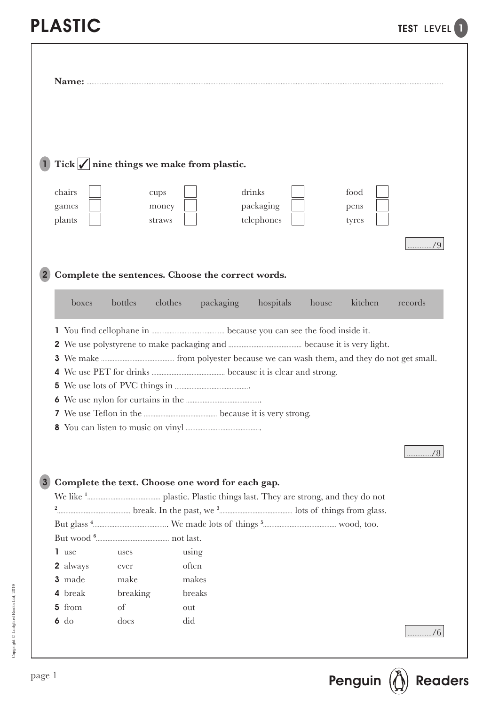| Tick $\sqrt{\vert n \vert}$ nine things we make from plastic.<br>drinks<br>chairs<br>food<br>cups<br>packaging<br>games<br>money<br>pens<br>telephones<br>plants<br>straws<br>tyres<br>Complete the sentences. Choose the correct words.<br>kitchen<br>bottles<br>clothes<br>packaging<br>hospitals<br>boxes<br>house<br>records<br>Complete the text. Choose one word for each gap.<br>1 use<br>using<br>uses<br>often<br>2 always<br>ever<br>3 made<br>make<br>makes<br>4 break<br>breaking<br>breaks<br>5 from<br>of<br>out | Name: |  |  |  |    |
|--------------------------------------------------------------------------------------------------------------------------------------------------------------------------------------------------------------------------------------------------------------------------------------------------------------------------------------------------------------------------------------------------------------------------------------------------------------------------------------------------------------------------------|-------|--|--|--|----|
|                                                                                                                                                                                                                                                                                                                                                                                                                                                                                                                                |       |  |  |  |    |
|                                                                                                                                                                                                                                                                                                                                                                                                                                                                                                                                |       |  |  |  |    |
|                                                                                                                                                                                                                                                                                                                                                                                                                                                                                                                                |       |  |  |  | /9 |
|                                                                                                                                                                                                                                                                                                                                                                                                                                                                                                                                |       |  |  |  |    |
|                                                                                                                                                                                                                                                                                                                                                                                                                                                                                                                                |       |  |  |  |    |
|                                                                                                                                                                                                                                                                                                                                                                                                                                                                                                                                |       |  |  |  |    |
|                                                                                                                                                                                                                                                                                                                                                                                                                                                                                                                                |       |  |  |  |    |
|                                                                                                                                                                                                                                                                                                                                                                                                                                                                                                                                |       |  |  |  |    |
|                                                                                                                                                                                                                                                                                                                                                                                                                                                                                                                                |       |  |  |  |    |
|                                                                                                                                                                                                                                                                                                                                                                                                                                                                                                                                |       |  |  |  |    |
|                                                                                                                                                                                                                                                                                                                                                                                                                                                                                                                                |       |  |  |  |    |
|                                                                                                                                                                                                                                                                                                                                                                                                                                                                                                                                |       |  |  |  |    |
|                                                                                                                                                                                                                                                                                                                                                                                                                                                                                                                                |       |  |  |  |    |
|                                                                                                                                                                                                                                                                                                                                                                                                                                                                                                                                |       |  |  |  |    |
|                                                                                                                                                                                                                                                                                                                                                                                                                                                                                                                                |       |  |  |  |    |
|                                                                                                                                                                                                                                                                                                                                                                                                                                                                                                                                |       |  |  |  |    |
|                                                                                                                                                                                                                                                                                                                                                                                                                                                                                                                                |       |  |  |  |    |
|                                                                                                                                                                                                                                                                                                                                                                                                                                                                                                                                |       |  |  |  |    |
|                                                                                                                                                                                                                                                                                                                                                                                                                                                                                                                                |       |  |  |  |    |
|                                                                                                                                                                                                                                                                                                                                                                                                                                                                                                                                |       |  |  |  |    |
|                                                                                                                                                                                                                                                                                                                                                                                                                                                                                                                                |       |  |  |  |    |
|                                                                                                                                                                                                                                                                                                                                                                                                                                                                                                                                |       |  |  |  |    |
|                                                                                                                                                                                                                                                                                                                                                                                                                                                                                                                                |       |  |  |  |    |
|                                                                                                                                                                                                                                                                                                                                                                                                                                                                                                                                |       |  |  |  |    |
|                                                                                                                                                                                                                                                                                                                                                                                                                                                                                                                                |       |  |  |  |    |
|                                                                                                                                                                                                                                                                                                                                                                                                                                                                                                                                |       |  |  |  |    |
|                                                                                                                                                                                                                                                                                                                                                                                                                                                                                                                                |       |  |  |  |    |
| $6$ do<br>does<br>did                                                                                                                                                                                                                                                                                                                                                                                                                                                                                                          |       |  |  |  |    |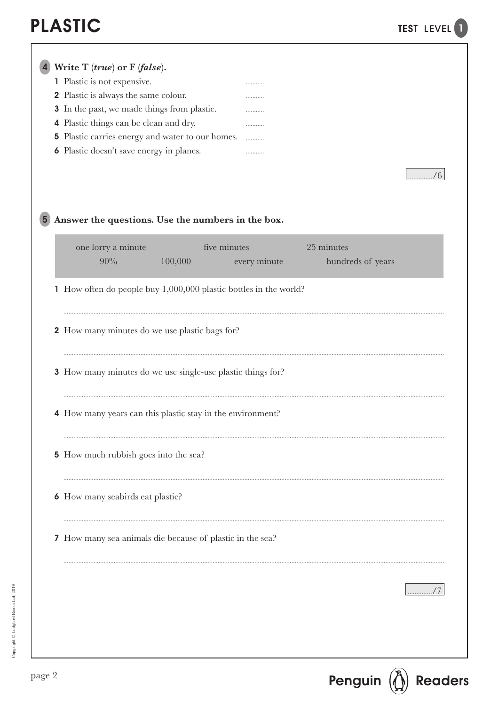|  | Write $T$ (true) or $F$ (false).                                  |              |                   |             |
|--|-------------------------------------------------------------------|--------------|-------------------|-------------|
|  | 1 Plastic is not expensive.                                       |              |                   |             |
|  | 2 Plastic is always the same colour.                              |              |                   |             |
|  | 3 In the past, we made things from plastic.                       | .            |                   |             |
|  | 4 Plastic things can be clean and dry.                            |              |                   |             |
|  | 5 Plastic carries energy and water to our homes.                  |              |                   |             |
|  | <b>6</b> Plastic doesn't save energy in planes.                   |              |                   |             |
|  |                                                                   |              |                   |             |
|  |                                                                   |              |                   | $\ldots$ /6 |
|  |                                                                   |              |                   |             |
|  |                                                                   |              |                   |             |
|  | Answer the questions. Use the numbers in the box.                 |              |                   |             |
|  |                                                                   |              |                   |             |
|  | five minutes<br>one lorry a minute                                |              | 25 minutes        |             |
|  | 90%<br>100,000                                                    | every minute | hundreds of years |             |
|  |                                                                   |              |                   |             |
|  | 1 How often do people buy 1,000,000 plastic bottles in the world? |              |                   |             |
|  |                                                                   |              |                   |             |
|  |                                                                   |              |                   |             |
|  | 2 How many minutes do we use plastic bags for?                    |              |                   |             |
|  |                                                                   |              |                   |             |
|  |                                                                   |              |                   |             |
|  | 3 How many minutes do we use single-use plastic things for?       |              |                   |             |
|  |                                                                   |              |                   |             |
|  |                                                                   |              |                   |             |
|  | 4 How many years can this plastic stay in the environment?        |              |                   |             |
|  |                                                                   |              |                   |             |
|  |                                                                   |              |                   |             |
|  | <b>5</b> How much rubbish goes into the sea?                      |              |                   |             |
|  |                                                                   |              |                   |             |
|  |                                                                   |              |                   |             |
|  | <b>6</b> How many seabirds eat plastic?                           |              |                   |             |
|  |                                                                   |              |                   |             |
|  |                                                                   |              |                   |             |
|  | 7 How many sea animals die because of plastic in the sea?         |              |                   |             |
|  |                                                                   |              |                   |             |
|  |                                                                   |              |                   |             |
|  |                                                                   |              |                   |             |
|  |                                                                   |              |                   | . / /       |
|  |                                                                   |              |                   |             |
|  |                                                                   |              |                   |             |
|  |                                                                   |              |                   |             |
|  |                                                                   |              |                   |             |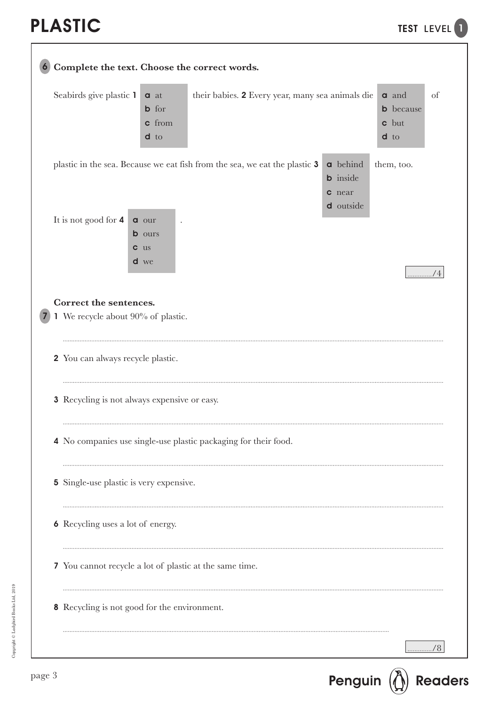